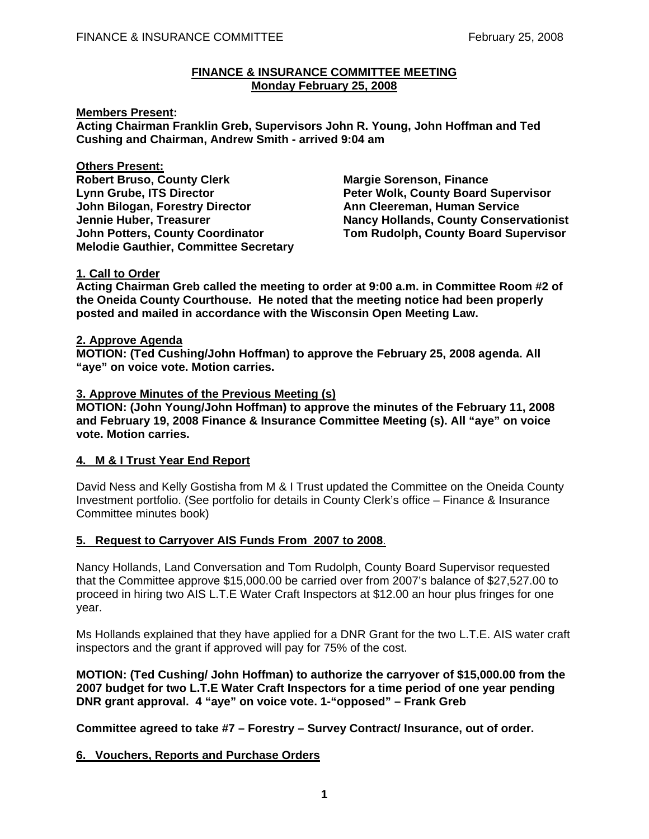#### **FINANCE & INSURANCE COMMITTEE MEETING Monday February 25, 2008**

#### **Members Present:**

**Acting Chairman Franklin Greb, Supervisors John R. Young, John Hoffman and Ted Cushing and Chairman, Andrew Smith - arrived 9:04 am** 

**Others Present: Robert Bruso, County Clerk Margie Sorenson, Finance Communist Clergy Communist Communist Property** Lynn Grube, ITS Director **Peter Wolk, County Board Supervisor John Bilogan, Forestry Director Ann Cleereman, Human Service Melodie Gauthier, Committee Secretary** 

**Jennie Huber, Treasurer Nancy Hollands, County Conservationist John Potters, County Coordinator Tom Rudolph, County Board Supervisor** 

## **1. Call to Order**

**Acting Chairman Greb called the meeting to order at 9:00 a.m. in Committee Room #2 of the Oneida County Courthouse. He noted that the meeting notice had been properly posted and mailed in accordance with the Wisconsin Open Meeting Law.** 

#### **2. Approve Agenda**

**MOTION: (Ted Cushing/John Hoffman) to approve the February 25, 2008 agenda. All "aye" on voice vote. Motion carries.** 

### **3. Approve Minutes of the Previous Meeting (s)**

**MOTION: (John Young/John Hoffman) to approve the minutes of the February 11, 2008 and February 19, 2008 Finance & Insurance Committee Meeting (s). All "aye" on voice vote. Motion carries.** 

## **4. M & I Trust Year End Report**

David Ness and Kelly Gostisha from M & I Trust updated the Committee on the Oneida County Investment portfolio. (See portfolio for details in County Clerk's office – Finance & Insurance Committee minutes book)

## **5. Request to Carryover AIS Funds From 2007 to 2008**.

Nancy Hollands, Land Conversation and Tom Rudolph, County Board Supervisor requested that the Committee approve \$15,000.00 be carried over from 2007's balance of \$27,527.00 to proceed in hiring two AIS L.T.E Water Craft Inspectors at \$12.00 an hour plus fringes for one year.

Ms Hollands explained that they have applied for a DNR Grant for the two L.T.E. AIS water craft inspectors and the grant if approved will pay for 75% of the cost.

**MOTION: (Ted Cushing/ John Hoffman) to authorize the carryover of \$15,000.00 from the 2007 budget for two L.T.E Water Craft Inspectors for a time period of one year pending DNR grant approval. 4 "aye" on voice vote. 1-"opposed" – Frank Greb** 

 **Committee agreed to take #7 – Forestry – Survey Contract/ Insurance, out of order.** 

## **6. Vouchers, Reports and Purchase Orders**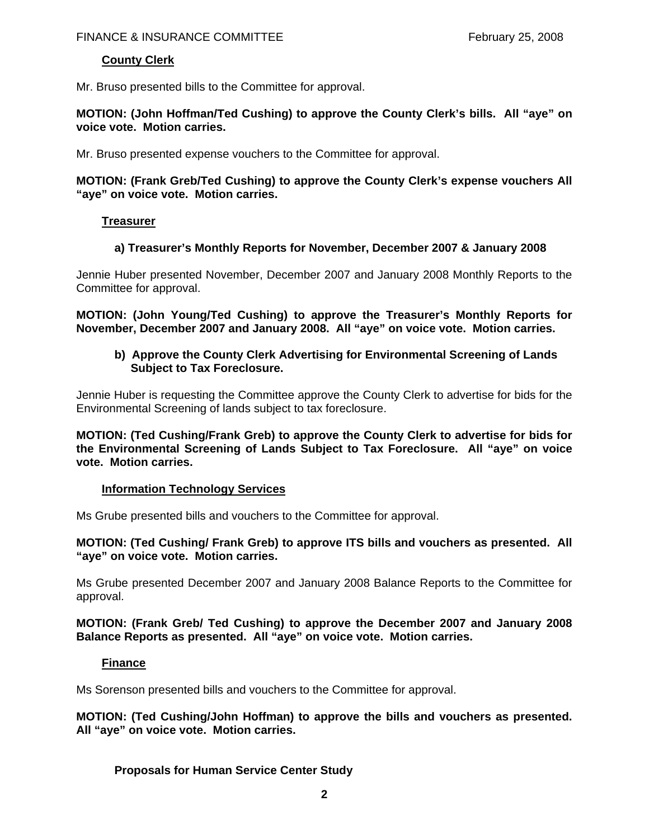# **County Clerk**

Mr. Bruso presented bills to the Committee for approval.

**MOTION: (John Hoffman/Ted Cushing) to approve the County Clerk's bills. All "aye" on voice vote. Motion carries.**

Mr. Bruso presented expense vouchers to the Committee for approval.

### **MOTION: (Frank Greb/Ted Cushing) to approve the County Clerk's expense vouchers All "aye" on voice vote. Motion carries.**

## **Treasurer**

## **a) Treasurer's Monthly Reports for November, December 2007 & January 2008**

Jennie Huber presented November, December 2007 and January 2008 Monthly Reports to the Committee for approval.

**MOTION: (John Young/Ted Cushing) to approve the Treasurer's Monthly Reports for November, December 2007 and January 2008. All "aye" on voice vote. Motion carries.**

### **b) Approve the County Clerk Advertising for Environmental Screening of Lands Subject to Tax Foreclosure.**

Jennie Huber is requesting the Committee approve the County Clerk to advertise for bids for the Environmental Screening of lands subject to tax foreclosure.

**MOTION: (Ted Cushing/Frank Greb) to approve the County Clerk to advertise for bids for the Environmental Screening of Lands Subject to Tax Foreclosure. All "aye" on voice vote. Motion carries.** 

## **Information Technology Services**

Ms Grube presented bills and vouchers to the Committee for approval.

### **MOTION: (Ted Cushing/ Frank Greb) to approve ITS bills and vouchers as presented. All "aye" on voice vote. Motion carries.**

Ms Grube presented December 2007 and January 2008 Balance Reports to the Committee for approval.

### **MOTION: (Frank Greb/ Ted Cushing) to approve the December 2007 and January 2008 Balance Reports as presented. All "aye" on voice vote. Motion carries.**

## **Finance**

Ms Sorenson presented bills and vouchers to the Committee for approval.

**MOTION: (Ted Cushing/John Hoffman) to approve the bills and vouchers as presented. All "aye" on voice vote. Motion carries.**

## **Proposals for Human Service Center Study**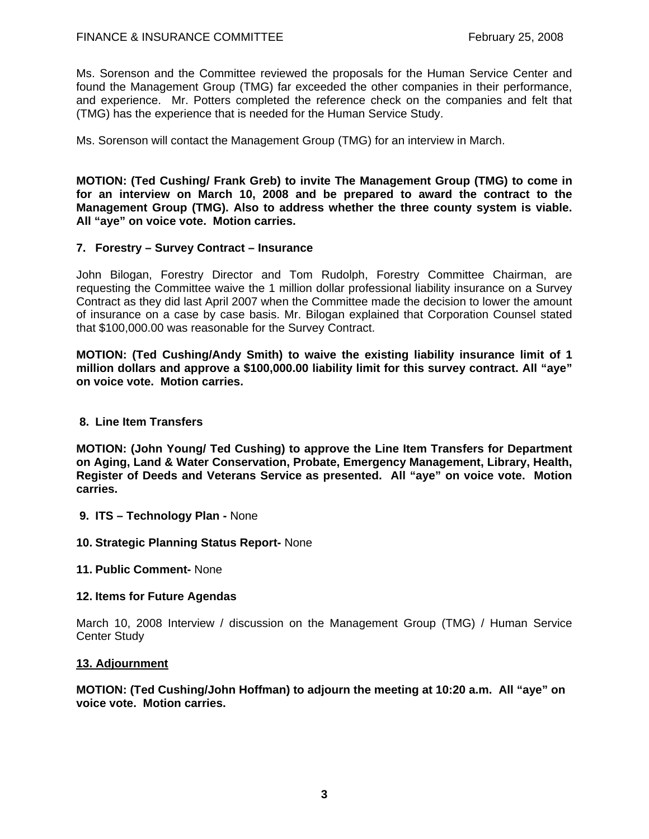Ms. Sorenson and the Committee reviewed the proposals for the Human Service Center and found the Management Group (TMG) far exceeded the other companies in their performance, and experience. Mr. Potters completed the reference check on the companies and felt that (TMG) has the experience that is needed for the Human Service Study.

Ms. Sorenson will contact the Management Group (TMG) for an interview in March.

**MOTION: (Ted Cushing/ Frank Greb) to invite The Management Group (TMG) to come in for an interview on March 10, 2008 and be prepared to award the contract to the Management Group (TMG). Also to address whether the three county system is viable. All "aye" on voice vote. Motion carries.** 

### **7. Forestry – Survey Contract – Insurance**

John Bilogan, Forestry Director and Tom Rudolph, Forestry Committee Chairman, are requesting the Committee waive the 1 million dollar professional liability insurance on a Survey Contract as they did last April 2007 when the Committee made the decision to lower the amount of insurance on a case by case basis. Mr. Bilogan explained that Corporation Counsel stated that \$100,000.00 was reasonable for the Survey Contract.

**MOTION: (Ted Cushing/Andy Smith) to waive the existing liability insurance limit of 1 million dollars and approve a \$100,000.00 liability limit for this survey contract. All "aye" on voice vote. Motion carries.** 

#### **8. Line Item Transfers**

**MOTION: (John Young/ Ted Cushing) to approve the Line Item Transfers for Department on Aging, Land & Water Conservation, Probate, Emergency Management, Library, Health, Register of Deeds and Veterans Service as presented. All "aye" on voice vote. Motion carries.**

- **9. ITS Technology Plan** None
- **10. Strategic Planning Status Report-** None
- **11. Public Comment-** None

#### **12. Items for Future Agendas**

March 10, 2008 Interview / discussion on the Management Group (TMG) / Human Service Center Study

#### **13. Adjournment**

**MOTION: (Ted Cushing/John Hoffman) to adjourn the meeting at 10:20 a.m. All "aye" on voice vote. Motion carries.**